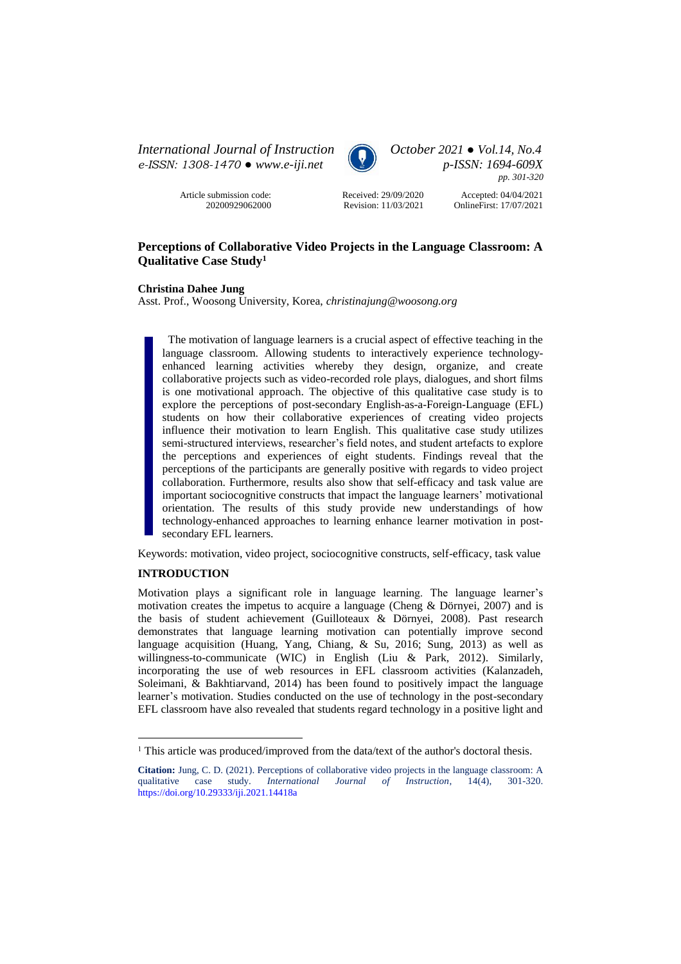*International Journal of Instruction October 2021 ● Vol.14, No.4 e-ISSN: 1308-1470 ● [www.e-iji.net](http://www.e-iji.net/) p-ISSN: 1694-609X*

> Article submission code: 20200929062000



*pp. 301-320*

Received: 29/09/2020 Revision: 11/03/2021

Accepted: 04/04/2021 OnlineFirst: 17/07/2021

# **Perceptions of Collaborative Video Projects in the Language Classroom: A Qualitative Case Study<sup>1</sup>**

**Christina Dahee Jung**

Asst. Prof., Woosong University, Korea, *christinajung@woosong.org* 

The motivation of language learners is a crucial aspect of effective teaching in the language classroom. Allowing students to interactively experience technologyenhanced learning activities whereby they design, organize, and create collaborative projects such as video-recorded role plays, dialogues, and short films is one motivational approach. The objective of this qualitative case study is to explore the perceptions of post-secondary English-as-a-Foreign-Language (EFL) students on how their collaborative experiences of creating video projects influence their motivation to learn English. This qualitative case study utilizes semi-structured interviews, researcher's field notes, and student artefacts to explore the perceptions and experiences of eight students. Findings reveal that the perceptions of the participants are generally positive with regards to video project collaboration. Furthermore, results also show that self-efficacy and task value are important sociocognitive constructs that impact the language learners' motivational orientation. The results of this study provide new understandings of how technology-enhanced approaches to learning enhance learner motivation in postsecondary EFL learners.

Keywords: motivation, video project, sociocognitive constructs, self-efficacy, task value

## **INTRODUCTION**

 $\overline{a}$ 

Motivation plays a significant role in language learning. The language learner's motivation creates the impetus to acquire a language (Cheng & Dörnyei, 2007) and is the basis of student achievement (Guilloteaux & Dörnyei, 2008). Past research demonstrates that language learning motivation can potentially improve second language acquisition (Huang, Yang, Chiang, & Su, 2016; Sung, 2013) as well as willingness-to-communicate (WIC) in English (Liu & Park, 2012). Similarly, incorporating the use of web resources in EFL classroom activities (Kalanzadeh, Soleimani, & Bakhtiarvand, 2014) has been found to positively impact the language learner's motivation. Studies conducted on the use of technology in the post-secondary EFL classroom have also revealed that students regard technology in a positive light and

<sup>&</sup>lt;sup>1</sup> This article was produced/improved from the data/text of the author's doctoral thesis.

**Citation:** Jung, C. D. (2021). Perceptions of collaborative video projects in the language classroom: A qualitative case study. *International Journal of Instruction*, 14(4), 301-320. qualitative case study. *International Journal of Instruction*, 14(4), <https://doi.org/10.29333/iji.2021.14418a>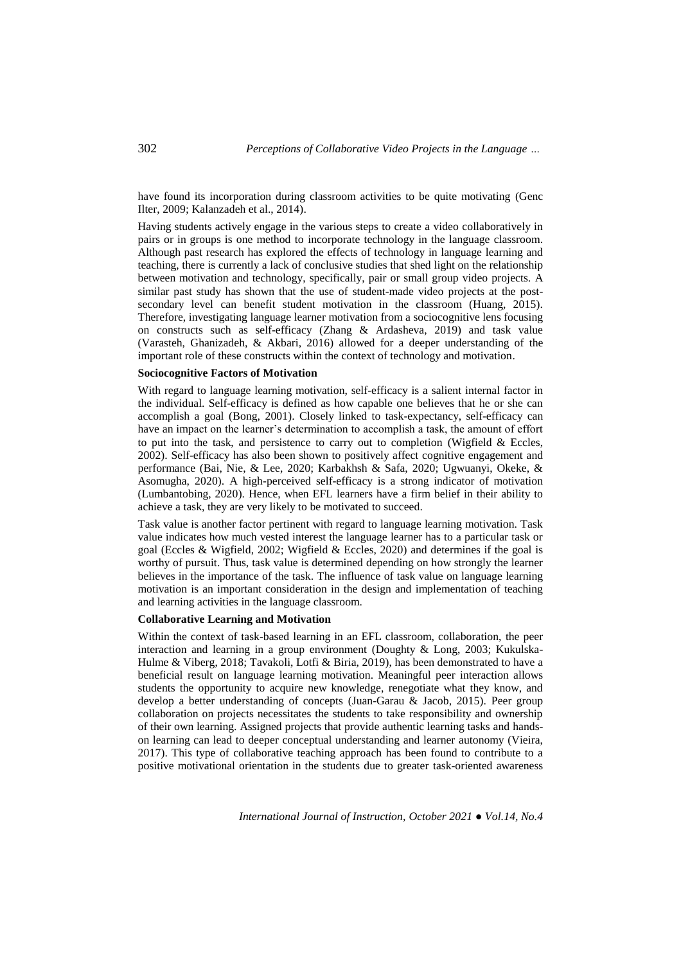have found its incorporation during classroom activities to be quite motivating (Genc Ilter, 2009; Kalanzadeh et al., 2014).

Having students actively engage in the various steps to create a video collaboratively in pairs or in groups is one method to incorporate technology in the language classroom. Although past research has explored the effects of technology in language learning and teaching, there is currently a lack of conclusive studies that shed light on the relationship between motivation and technology, specifically, pair or small group video projects. A similar past study has shown that the use of student-made video projects at the postsecondary level can benefit student motivation in the classroom (Huang, 2015). Therefore, investigating language learner motivation from a sociocognitive lens focusing on constructs such as self-efficacy (Zhang & Ardasheva, 2019) and task value (Varasteh, Ghanizadeh, & Akbari, 2016) allowed for a deeper understanding of the important role of these constructs within the context of technology and motivation.

#### **Sociocognitive Factors of Motivation**

With regard to language learning motivation, self-efficacy is a salient internal factor in the individual. Self-efficacy is defined as how capable one believes that he or she can accomplish a goal (Bong, 2001). Closely linked to task-expectancy, self-efficacy can have an impact on the learner's determination to accomplish a task, the amount of effort to put into the task, and persistence to carry out to completion (Wigfield & Eccles, 2002). Self-efficacy has also been shown to positively affect cognitive engagement and performance (Bai, Nie, & Lee, 2020; Karbakhsh & Safa, 2020; Ugwuanyi, Okeke, & Asomugha, 2020). A high-perceived self-efficacy is a strong indicator of motivation (Lumbantobing, 2020). Hence, when EFL learners have a firm belief in their ability to achieve a task, they are very likely to be motivated to succeed.

Task value is another factor pertinent with regard to language learning motivation. Task value indicates how much vested interest the language learner has to a particular task or goal (Eccles & Wigfield, 2002; Wigfield & Eccles, 2020) and determines if the goal is worthy of pursuit. Thus, task value is determined depending on how strongly the learner believes in the importance of the task. The influence of task value on language learning motivation is an important consideration in the design and implementation of teaching and learning activities in the language classroom.

#### **Collaborative Learning and Motivation**

Within the context of task-based learning in an EFL classroom, collaboration, the peer interaction and learning in a group environment (Doughty & Long, 2003; Kukulska-Hulme & Viberg, 2018; Tavakoli, Lotfi & Biria, 2019), has been demonstrated to have a beneficial result on language learning motivation. Meaningful peer interaction allows students the opportunity to acquire new knowledge, renegotiate what they know, and develop a better understanding of concepts (Juan-Garau & Jacob, 2015). Peer group collaboration on projects necessitates the students to take responsibility and ownership of their own learning. Assigned projects that provide authentic learning tasks and handson learning can lead to deeper conceptual understanding and learner autonomy (Vieira, 2017). This type of collaborative teaching approach has been found to contribute to a positive motivational orientation in the students due to greater task-oriented awareness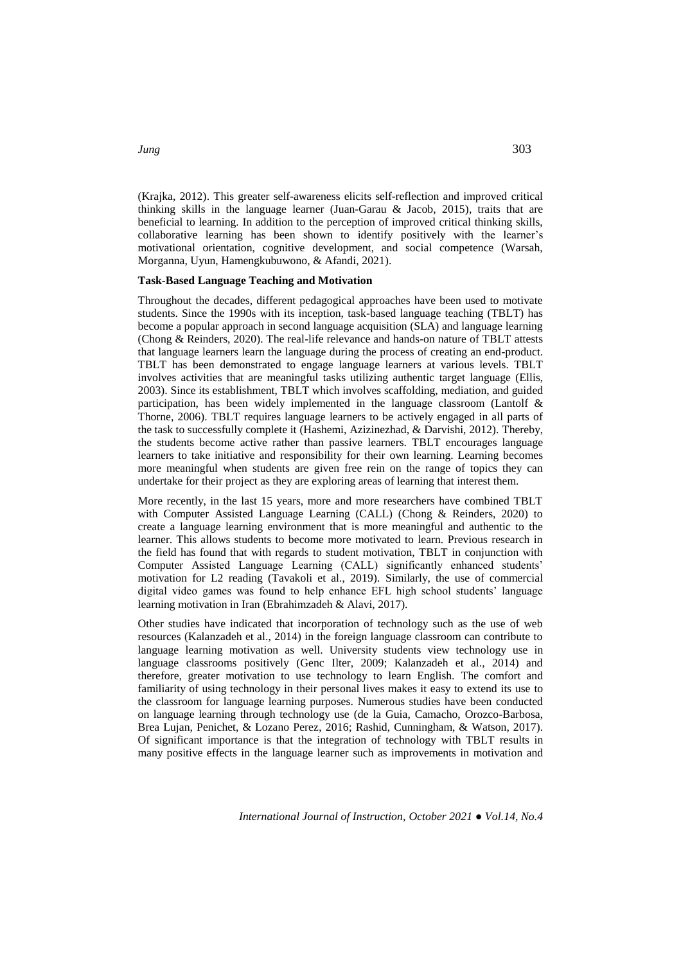(Krajka, 2012). This greater self-awareness elicits self-reflection and improved critical thinking skills in the language learner (Juan-Garau & Jacob, 2015), traits that are beneficial to learning. In addition to the perception of improved critical thinking skills, collaborative learning has been shown to identify positively with the learner's motivational orientation, cognitive development, and social competence (Warsah, Morganna, Uyun, Hamengkubuwono, & Afandi, 2021).

#### **Task-Based Language Teaching and Motivation**

Throughout the decades, different pedagogical approaches have been used to motivate students. Since the 1990s with its inception, task-based language teaching (TBLT) has become a popular approach in second language acquisition (SLA) and language learning (Chong & Reinders, 2020). The real-life relevance and hands-on nature of TBLT attests that language learners learn the language during the process of creating an end-product. TBLT has been demonstrated to engage language learners at various levels. TBLT involves activities that are meaningful tasks utilizing authentic target language (Ellis, 2003). Since its establishment, TBLT which involves scaffolding, mediation, and guided participation, has been widely implemented in the language classroom (Lantolf & Thorne, 2006). TBLT requires language learners to be actively engaged in all parts of the task to successfully complete it (Hashemi, Azizinezhad, & Darvishi, 2012). Thereby, the students become active rather than passive learners. TBLT encourages language learners to take initiative and responsibility for their own learning. Learning becomes more meaningful when students are given free rein on the range of topics they can undertake for their project as they are exploring areas of learning that interest them.

More recently, in the last 15 years, more and more researchers have combined TBLT with Computer Assisted Language Learning (CALL) (Chong & Reinders, 2020) to create a language learning environment that is more meaningful and authentic to the learner. This allows students to become more motivated to learn. Previous research in the field has found that with regards to student motivation, TBLT in conjunction with Computer Assisted Language Learning (CALL) significantly enhanced students' motivation for L2 reading (Tavakoli et al., 2019). Similarly, the use of commercial digital video games was found to help enhance EFL high school students' language learning motivation in Iran (Ebrahimzadeh & Alavi, 2017).

Other studies have indicated that incorporation of technology such as the use of web resources (Kalanzadeh et al., 2014) in the foreign language classroom can contribute to language learning motivation as well. University students view technology use in language classrooms positively (Genc Ilter, 2009; Kalanzadeh et al., 2014) and therefore, greater motivation to use technology to learn English. The comfort and familiarity of using technology in their personal lives makes it easy to extend its use to the classroom for language learning purposes. Numerous studies have been conducted on language learning through technology use (de la Guia, Camacho, Orozco-Barbosa, Brea Lujan, Penichet, & Lozano Perez, 2016; Rashid, Cunningham, & Watson, 2017). Of significant importance is that the integration of technology with TBLT results in many positive effects in the language learner such as improvements in motivation and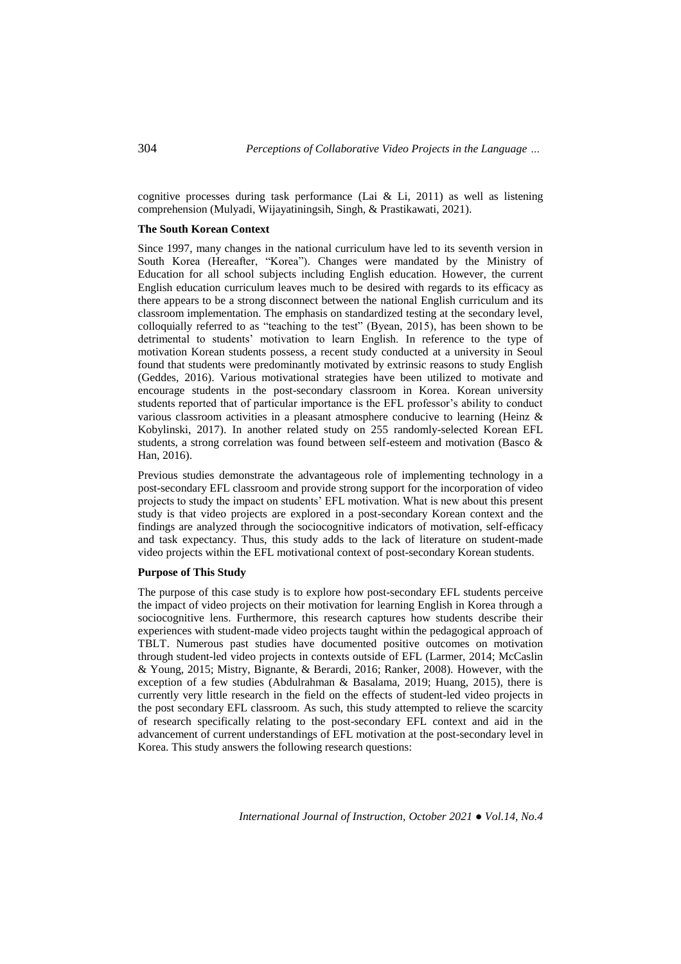cognitive processes during task performance (Lai & Li, 2011) as well as listening comprehension (Mulyadi, Wijayatiningsih, Singh, & Prastikawati, 2021).

#### **The South Korean Context**

Since 1997, many changes in the national curriculum have led to its seventh version in South Korea (Hereafter, "Korea"). Changes were mandated by the Ministry of Education for all school subjects including English education. However, the current English education curriculum leaves much to be desired with regards to its efficacy as there appears to be a strong disconnect between the national English curriculum and its classroom implementation. The emphasis on standardized testing at the secondary level, colloquially referred to as "teaching to the test" (Byean, 2015), has been shown to be detrimental to students' motivation to learn English. In reference to the type of motivation Korean students possess, a recent study conducted at a university in Seoul found that students were predominantly motivated by extrinsic reasons to study English (Geddes, 2016). Various motivational strategies have been utilized to motivate and encourage students in the post-secondary classroom in Korea. Korean university students reported that of particular importance is the EFL professor's ability to conduct various classroom activities in a pleasant atmosphere conducive to learning (Heinz & Kobylinski, 2017). In another related study on 255 randomly-selected Korean EFL students, a strong correlation was found between self-esteem and motivation (Basco & Han, 2016).

Previous studies demonstrate the advantageous role of implementing technology in a post-secondary EFL classroom and provide strong support for the incorporation of video projects to study the impact on students' EFL motivation. What is new about this present study is that video projects are explored in a post-secondary Korean context and the findings are analyzed through the sociocognitive indicators of motivation, self-efficacy and task expectancy. Thus, this study adds to the lack of literature on student-made video projects within the EFL motivational context of post-secondary Korean students.

## **Purpose of This Study**

The purpose of this case study is to explore how post-secondary EFL students perceive the impact of video projects on their motivation for learning English in Korea through a sociocognitive lens. Furthermore, this research captures how students describe their experiences with student-made video projects taught within the pedagogical approach of TBLT. Numerous past studies have documented positive outcomes on motivation through student-led video projects in contexts outside of EFL (Larmer, 2014; McCaslin & Young, 2015; Mistry, Bignante, & Berardi, 2016; Ranker, 2008). However, with the exception of a few studies (Abdulrahman & Basalama, 2019; Huang, 2015), there is currently very little research in the field on the effects of student-led video projects in the post secondary EFL classroom. As such, this study attempted to relieve the scarcity of research specifically relating to the post-secondary EFL context and aid in the advancement of current understandings of EFL motivation at the post-secondary level in Korea. This study answers the following research questions: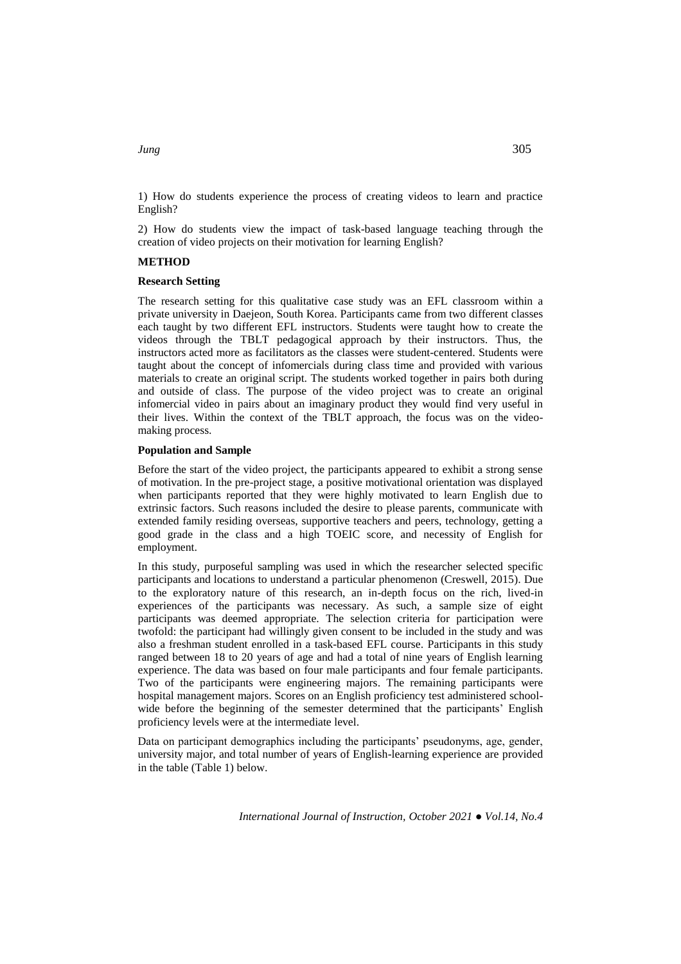1) How do students experience the process of creating videos to learn and practice English?

2) How do students view the impact of task-based language teaching through the creation of video projects on their motivation for learning English?

## **METHOD**

#### **Research Setting**

The research setting for this qualitative case study was an EFL classroom within a private university in Daejeon, South Korea. Participants came from two different classes each taught by two different EFL instructors. Students were taught how to create the videos through the TBLT pedagogical approach by their instructors. Thus, the instructors acted more as facilitators as the classes were student-centered. Students were taught about the concept of infomercials during class time and provided with various materials to create an original script. The students worked together in pairs both during and outside of class. The purpose of the video project was to create an original infomercial video in pairs about an imaginary product they would find very useful in their lives. Within the context of the TBLT approach, the focus was on the videomaking process.

#### **Population and Sample**

Before the start of the video project, the participants appeared to exhibit a strong sense of motivation. In the pre-project stage, a positive motivational orientation was displayed when participants reported that they were highly motivated to learn English due to extrinsic factors. Such reasons included the desire to please parents, communicate with extended family residing overseas, supportive teachers and peers, technology, getting a good grade in the class and a high TOEIC score, and necessity of English for employment.

In this study, purposeful sampling was used in which the researcher selected specific participants and locations to understand a particular phenomenon (Creswell, 2015). Due to the exploratory nature of this research, an in-depth focus on the rich, lived-in experiences of the participants was necessary. As such, a sample size of eight participants was deemed appropriate. The selection criteria for participation were twofold: the participant had willingly given consent to be included in the study and was also a freshman student enrolled in a task-based EFL course. Participants in this study ranged between 18 to 20 years of age and had a total of nine years of English learning experience. The data was based on four male participants and four female participants. Two of the participants were engineering majors. The remaining participants were hospital management majors. Scores on an English proficiency test administered schoolwide before the beginning of the semester determined that the participants' English proficiency levels were at the intermediate level.

Data on participant demographics including the participants' pseudonyms, age, gender, university major, and total number of years of English-learning experience are provided in the table (Table 1) below.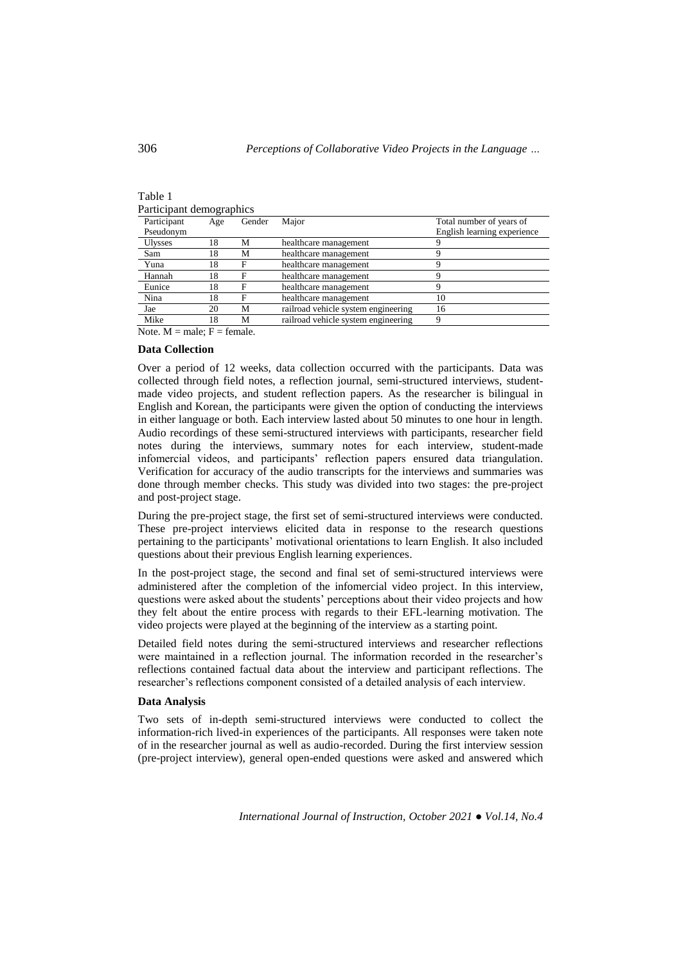| Participant demographics |        |                                     |                             |  |
|--------------------------|--------|-------------------------------------|-----------------------------|--|
| Age                      | Gender | Major                               | Total number of years of    |  |
|                          |        |                                     | English learning experience |  |
| 18                       | М      | healthcare management               |                             |  |
| 18                       | М      | healthcare management               |                             |  |
| 18                       | F      | healthcare management               |                             |  |
| 18                       | F      | healthcare management               |                             |  |
| 18                       | F      | healthcare management               | Q                           |  |
| 18                       | F      | healthcare management               | 10                          |  |
| 20                       | M      | railroad vehicle system engineering | 16                          |  |
| 18                       | М      | railroad vehicle system engineering | a                           |  |
|                          |        |                                     |                             |  |

Note.  $M = male$ ;  $F = female$ .

## **Data Collection**

Over a period of 12 weeks, data collection occurred with the participants. Data was collected through field notes, a reflection journal, semi-structured interviews, studentmade video projects, and student reflection papers. As the researcher is bilingual in English and Korean, the participants were given the option of conducting the interviews in either language or both. Each interview lasted about 50 minutes to one hour in length. Audio recordings of these semi-structured interviews with participants, researcher field notes during the interviews, summary notes for each interview, student-made infomercial videos, and participants' reflection papers ensured data triangulation. Verification for accuracy of the audio transcripts for the interviews and summaries was done through member checks. This study was divided into two stages: the pre-project and post-project stage.

During the pre-project stage, the first set of semi-structured interviews were conducted. These pre-project interviews elicited data in response to the research questions pertaining to the participants' motivational orientations to learn English. It also included questions about their previous English learning experiences.

In the post-project stage, the second and final set of semi-structured interviews were administered after the completion of the infomercial video project. In this interview, questions were asked about the students' perceptions about their video projects and how they felt about the entire process with regards to their EFL-learning motivation. The video projects were played at the beginning of the interview as a starting point.

Detailed field notes during the semi-structured interviews and researcher reflections were maintained in a reflection journal. The information recorded in the researcher's reflections contained factual data about the interview and participant reflections. The researcher's reflections component consisted of a detailed analysis of each interview.

#### **Data Analysis**

Two sets of in-depth semi-structured interviews were conducted to collect the information-rich lived-in experiences of the participants. All responses were taken note of in the researcher journal as well as audio-recorded. During the first interview session (pre-project interview), general open-ended questions were asked and answered which

Table 1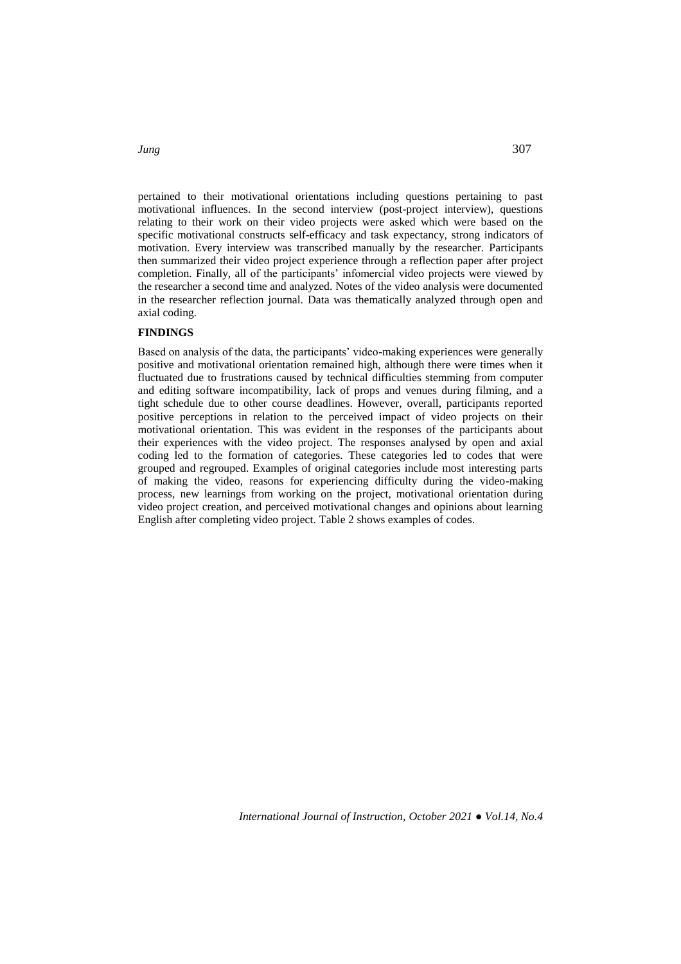pertained to their motivational orientations including questions pertaining to past motivational influences. In the second interview (post-project interview), questions relating to their work on their video projects were asked which were based on the specific motivational constructs self-efficacy and task expectancy, strong indicators of motivation. Every interview was transcribed manually by the researcher. Participants then summarized their video project experience through a reflection paper after project completion. Finally, all of the participants' infomercial video projects were viewed by the researcher a second time and analyzed. Notes of the video analysis were documented in the researcher reflection journal. Data was thematically analyzed through open and axial coding.

## **FINDINGS**

Based on analysis of the data, the participants' video-making experiences were generally positive and motivational orientation remained high, although there were times when it fluctuated due to frustrations caused by technical difficulties stemming from computer and editing software incompatibility, lack of props and venues during filming, and a tight schedule due to other course deadlines. However, overall, participants reported positive perceptions in relation to the perceived impact of video projects on their motivational orientation. This was evident in the responses of the participants about their experiences with the video project. The responses analysed by open and axial coding led to the formation of categories. These categories led to codes that were grouped and regrouped. Examples of original categories include most interesting parts of making the video, reasons for experiencing difficulty during the video-making process, new learnings from working on the project, motivational orientation during video project creation, and perceived motivational changes and opinions about learning English after completing video project. Table 2 shows examples of codes.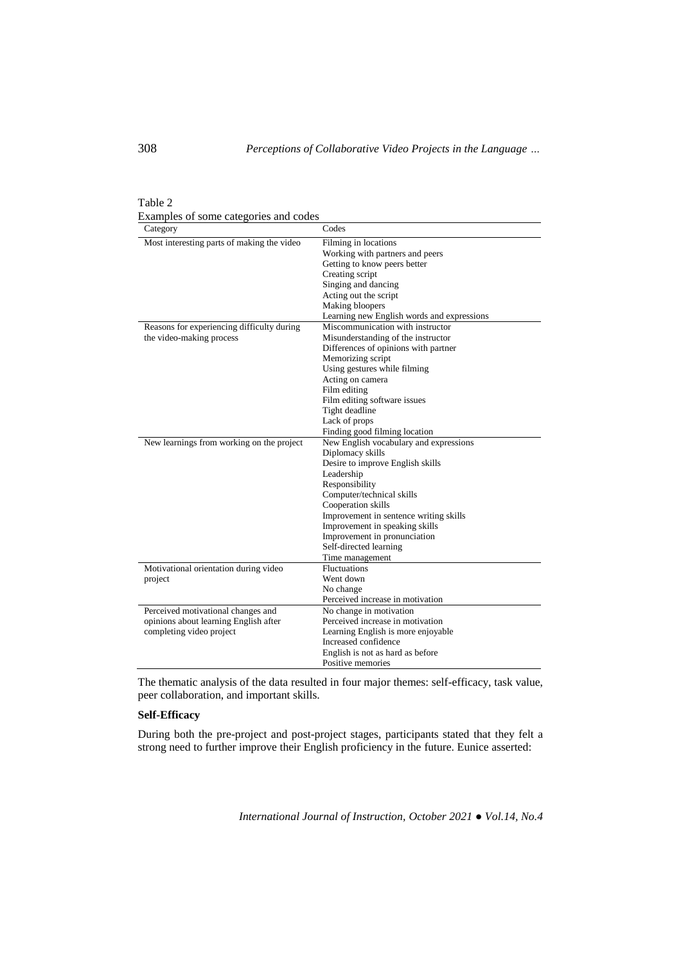Table 2 Examples of some categories and codes

| Category                                   | Codes                                      |  |
|--------------------------------------------|--------------------------------------------|--|
| Most interesting parts of making the video | Filming in locations                       |  |
|                                            | Working with partners and peers            |  |
|                                            | Getting to know peers better               |  |
|                                            | Creating script                            |  |
|                                            | Singing and dancing                        |  |
|                                            | Acting out the script                      |  |
|                                            | Making bloopers                            |  |
|                                            | Learning new English words and expressions |  |
| Reasons for experiencing difficulty during | Miscommunication with instructor           |  |
| the video-making process                   | Misunderstanding of the instructor         |  |
|                                            | Differences of opinions with partner       |  |
|                                            | Memorizing script                          |  |
|                                            | Using gestures while filming               |  |
|                                            | Acting on camera                           |  |
|                                            | Film editing                               |  |
|                                            | Film editing software issues               |  |
|                                            | Tight deadline                             |  |
|                                            | Lack of props                              |  |
|                                            | Finding good filming location              |  |
| New learnings from working on the project  | New English vocabulary and expressions     |  |
|                                            | Diplomacy skills                           |  |
|                                            | Desire to improve English skills           |  |
|                                            | Leadership                                 |  |
|                                            | Responsibility                             |  |
|                                            | Computer/technical skills                  |  |
|                                            | Cooperation skills                         |  |
|                                            | Improvement in sentence writing skills     |  |
|                                            | Improvement in speaking skills             |  |
|                                            | Improvement in pronunciation               |  |
|                                            | Self-directed learning                     |  |
|                                            | Time management                            |  |
| Motivational orientation during video      | <b>Fluctuations</b>                        |  |
| project                                    | Went down                                  |  |
|                                            | No change                                  |  |
|                                            | Perceived increase in motivation           |  |
| Perceived motivational changes and         | No change in motivation                    |  |
| opinions about learning English after      | Perceived increase in motivation           |  |
| completing video project                   | Learning English is more enjoyable         |  |
|                                            | Increased confidence                       |  |
|                                            | English is not as hard as before           |  |
|                                            | Positive memories                          |  |

The thematic analysis of the data resulted in four major themes: self-efficacy, task value, peer collaboration, and important skills.

# **Self-Efficacy**

During both the pre-project and post-project stages, participants stated that they felt a strong need to further improve their English proficiency in the future. Eunice asserted: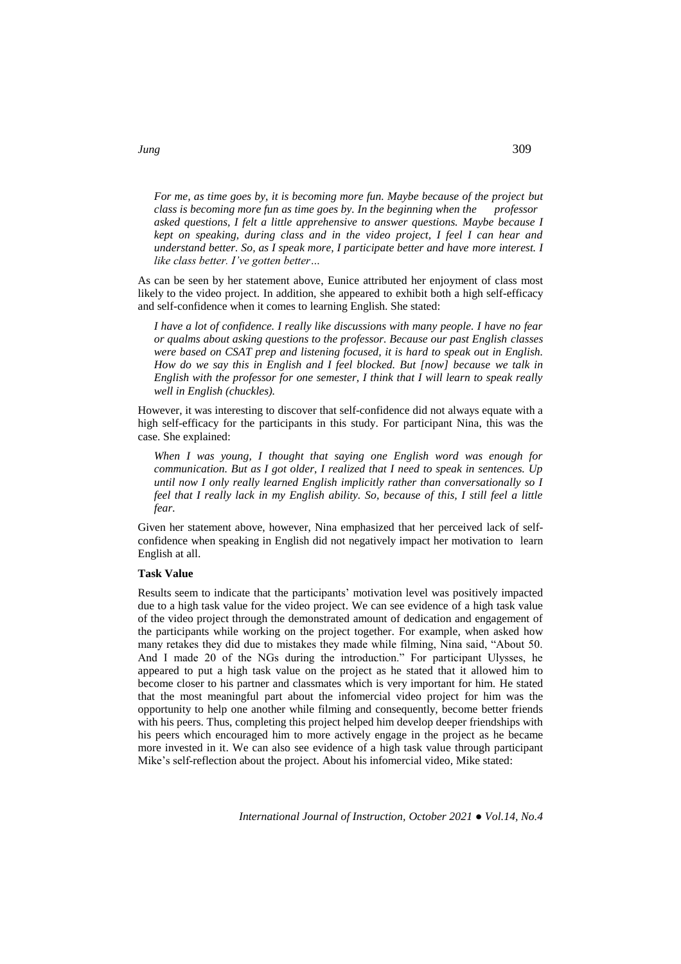*For me, as time goes by, it is becoming more fun. Maybe because of the project but class is becoming more fun as time goes by. In the beginning when the professor asked questions, I felt a little apprehensive to answer questions. Maybe because I kept on speaking, during class and in the video project, I feel I can hear and understand better. So, as I speak more, I participate better and have more interest. I like class better. I've gotten better…*

As can be seen by her statement above, Eunice attributed her enjoyment of class most likely to the video project. In addition, she appeared to exhibit both a high self-efficacy and self-confidence when it comes to learning English. She stated:

*I have a lot of confidence. I really like discussions with many people. I have no fear or qualms about asking questions to the professor. Because our past English classes were based on CSAT prep and listening focused, it is hard to speak out in English. How do we say this in English and I feel blocked. But [now] because we talk in English with the professor for one semester, I think that I will learn to speak really well in English (chuckles).* 

However, it was interesting to discover that self-confidence did not always equate with a high self-efficacy for the participants in this study. For participant Nina, this was the case. She explained:

*When I was young, I thought that saying one English word was enough for communication. But as I got older, I realized that I need to speak in sentences. Up until now I only really learned English implicitly rather than conversationally so I feel that I really lack in my English ability. So, because of this, I still feel a little fear.*

Given her statement above, however, Nina emphasized that her perceived lack of selfconfidence when speaking in English did not negatively impact her motivation to learn English at all.

#### **Task Value**

Results seem to indicate that the participants' motivation level was positively impacted due to a high task value for the video project. We can see evidence of a high task value of the video project through the demonstrated amount of dedication and engagement of the participants while working on the project together. For example, when asked how many retakes they did due to mistakes they made while filming, Nina said, "About 50. And I made 20 of the NGs during the introduction." For participant Ulysses, he appeared to put a high task value on the project as he stated that it allowed him to become closer to his partner and classmates which is very important for him. He stated that the most meaningful part about the infomercial video project for him was the opportunity to help one another while filming and consequently, become better friends with his peers. Thus, completing this project helped him develop deeper friendships with his peers which encouraged him to more actively engage in the project as he became more invested in it. We can also see evidence of a high task value through participant Mike's self-reflection about the project. About his infomercial video, Mike stated:

*International Journal of Instruction, October 2021 ● Vol.14, No.4*

*Jung* 309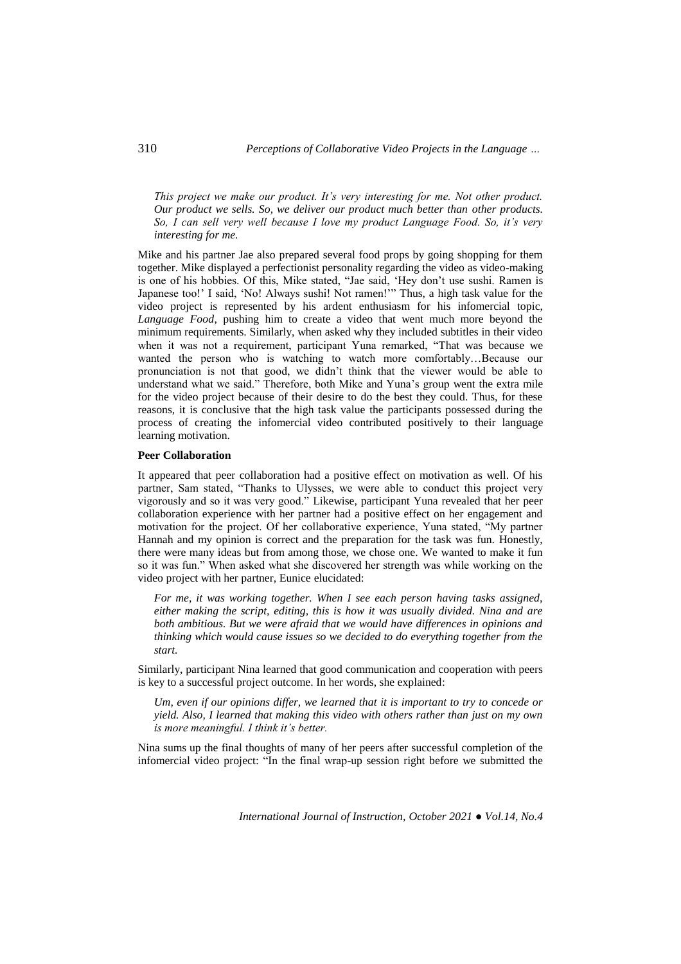*This project we make our product. It's very interesting for me. Not other product. Our product we sells. So, we deliver our product much better than other products. So, I can sell very well because I love my product Language Food. So, it's very interesting for me.* 

Mike and his partner Jae also prepared several food props by going shopping for them together. Mike displayed a perfectionist personality regarding the video as video-making is one of his hobbies. Of this, Mike stated, "Jae said, 'Hey don't use sushi. Ramen is Japanese too!' I said, 'No! Always sushi! Not ramen!'" Thus, a high task value for the video project is represented by his ardent enthusiasm for his infomercial topic, *Language Food*, pushing him to create a video that went much more beyond the minimum requirements. Similarly, when asked why they included subtitles in their video when it was not a requirement, participant Yuna remarked, "That was because we wanted the person who is watching to watch more comfortably…Because our pronunciation is not that good, we didn't think that the viewer would be able to understand what we said." Therefore, both Mike and Yuna's group went the extra mile for the video project because of their desire to do the best they could. Thus, for these reasons, it is conclusive that the high task value the participants possessed during the process of creating the infomercial video contributed positively to their language learning motivation.

#### **Peer Collaboration**

It appeared that peer collaboration had a positive effect on motivation as well. Of his partner, Sam stated, "Thanks to Ulysses, we were able to conduct this project very vigorously and so it was very good." Likewise, participant Yuna revealed that her peer collaboration experience with her partner had a positive effect on her engagement and motivation for the project. Of her collaborative experience, Yuna stated, "My partner Hannah and my opinion is correct and the preparation for the task was fun. Honestly, there were many ideas but from among those, we chose one. We wanted to make it fun so it was fun." When asked what she discovered her strength was while working on the video project with her partner, Eunice elucidated:

*For me, it was working together. When I see each person having tasks assigned, either making the script, editing, this is how it was usually divided. Nina and are both ambitious. But we were afraid that we would have differences in opinions and thinking which would cause issues so we decided to do everything together from the start.* 

Similarly, participant Nina learned that good communication and cooperation with peers is key to a successful project outcome. In her words, she explained:

*Um, even if our opinions differ, we learned that it is important to try to concede or yield. Also, I learned that making this video with others rather than just on my own is more meaningful. I think it's better.* 

Nina sums up the final thoughts of many of her peers after successful completion of the infomercial video project: "In the final wrap-up session right before we submitted the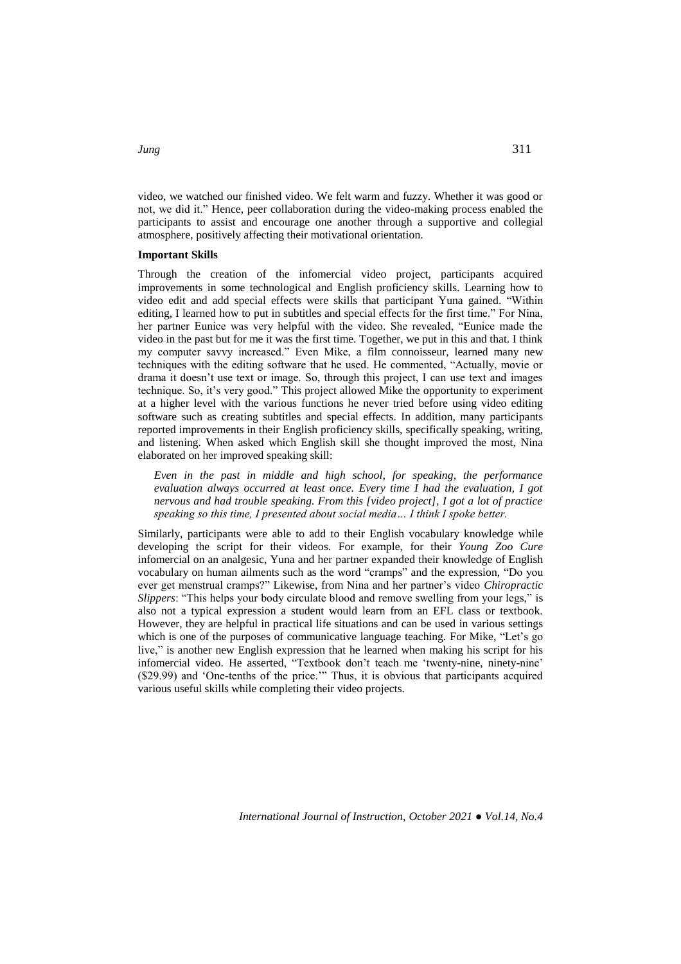video, we watched our finished video. We felt warm and fuzzy. Whether it was good or not, we did it." Hence, peer collaboration during the video-making process enabled the participants to assist and encourage one another through a supportive and collegial atmosphere, positively affecting their motivational orientation.

#### **Important Skills**

Through the creation of the infomercial video project, participants acquired improvements in some technological and English proficiency skills. Learning how to video edit and add special effects were skills that participant Yuna gained. "Within editing, I learned how to put in subtitles and special effects for the first time." For Nina, her partner Eunice was very helpful with the video. She revealed, "Eunice made the video in the past but for me it was the first time. Together, we put in this and that. I think my computer savvy increased." Even Mike, a film connoisseur, learned many new techniques with the editing software that he used. He commented, "Actually, movie or drama it doesn't use text or image. So, through this project, I can use text and images technique. So, it's very good." This project allowed Mike the opportunity to experiment at a higher level with the various functions he never tried before using video editing software such as creating subtitles and special effects. In addition, many participants reported improvements in their English proficiency skills, specifically speaking, writing, and listening. When asked which English skill she thought improved the most, Nina elaborated on her improved speaking skill:

*Even in the past in middle and high school, for speaking, the performance evaluation always occurred at least once. Every time I had the evaluation, I got nervous and had trouble speaking. From this [video project], I got a lot of practice speaking so this time, I presented about social media… I think I spoke better.* 

Similarly, participants were able to add to their English vocabulary knowledge while developing the script for their videos. For example, for their *Young Zoo Cure* infomercial on an analgesic, Yuna and her partner expanded their knowledge of English vocabulary on human ailments such as the word "cramps" and the expression, "Do you ever get menstrual cramps?" Likewise, from Nina and her partner's video *Chiropractic Slippers*: "This helps your body circulate blood and remove swelling from your legs," is also not a typical expression a student would learn from an EFL class or textbook. However, they are helpful in practical life situations and can be used in various settings which is one of the purposes of communicative language teaching. For Mike, "Let's go live," is another new English expression that he learned when making his script for his infomercial video. He asserted, "Textbook don't teach me 'twenty-nine, ninety-nine' (\$29.99) and 'One-tenths of the price.'" Thus, it is obvious that participants acquired various useful skills while completing their video projects.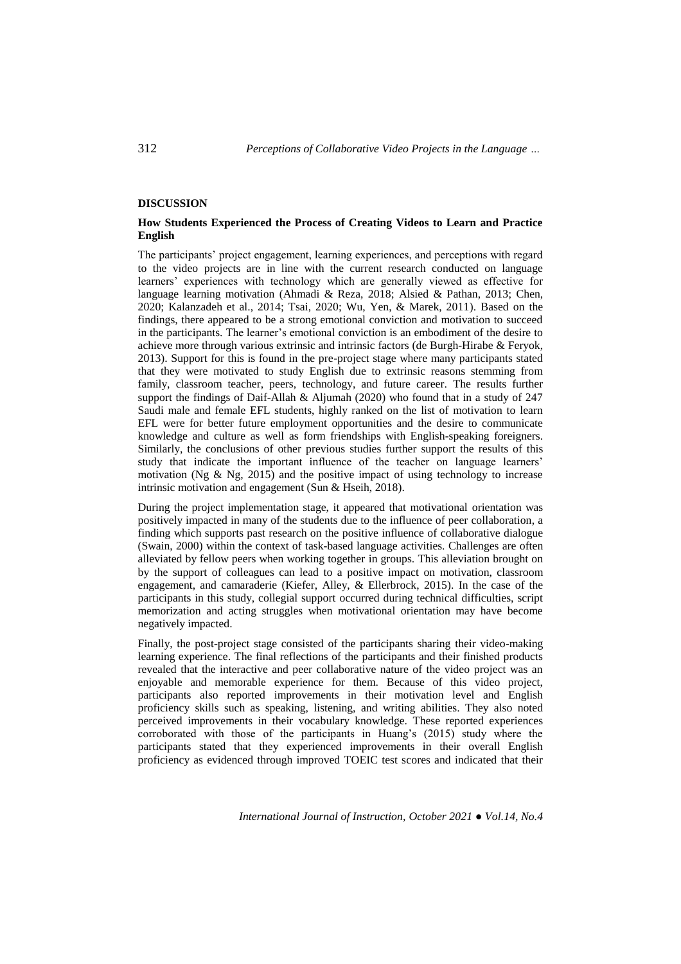## **DISCUSSION**

## **How Students Experienced the Process of Creating Videos to Learn and Practice English**

The participants' project engagement, learning experiences, and perceptions with regard to the video projects are in line with the current research conducted on language learners' experiences with technology which are generally viewed as effective for language learning motivation (Ahmadi & Reza, 2018; Alsied & Pathan, 2013; Chen, 2020; Kalanzadeh et al., 2014; Tsai, 2020; Wu, Yen, & Marek, 2011). Based on the findings, there appeared to be a strong emotional conviction and motivation to succeed in the participants. The learner's emotional conviction is an embodiment of the desire to achieve more through various extrinsic and intrinsic factors (de Burgh-Hirabe & Feryok, 2013). Support for this is found in the pre-project stage where many participants stated that they were motivated to study English due to extrinsic reasons stemming from family, classroom teacher, peers, technology, and future career. The results further support the findings of Daif-Allah & Aljumah (2020) who found that in a study of 247 Saudi male and female EFL students, highly ranked on the list of motivation to learn EFL were for better future employment opportunities and the desire to communicate knowledge and culture as well as form friendships with English-speaking foreigners. Similarly, the conclusions of other previous studies further support the results of this study that indicate the important influence of the teacher on language learners' motivation (Ng  $\&$  Ng, 2015) and the positive impact of using technology to increase intrinsic motivation and engagement (Sun & Hseih, 2018).

During the project implementation stage, it appeared that motivational orientation was positively impacted in many of the students due to the influence of peer collaboration, a finding which supports past research on the positive influence of collaborative dialogue (Swain, 2000) within the context of task-based language activities. Challenges are often alleviated by fellow peers when working together in groups. This alleviation brought on by the support of colleagues can lead to a positive impact on motivation, classroom engagement, and camaraderie (Kiefer, Alley, & Ellerbrock, 2015). In the case of the participants in this study, collegial support occurred during technical difficulties, script memorization and acting struggles when motivational orientation may have become negatively impacted.

Finally, the post-project stage consisted of the participants sharing their video-making learning experience. The final reflections of the participants and their finished products revealed that the interactive and peer collaborative nature of the video project was an enjoyable and memorable experience for them. Because of this video project, participants also reported improvements in their motivation level and English proficiency skills such as speaking, listening, and writing abilities. They also noted perceived improvements in their vocabulary knowledge. These reported experiences corroborated with those of the participants in Huang's (2015) study where the participants stated that they experienced improvements in their overall English proficiency as evidenced through improved TOEIC test scores and indicated that their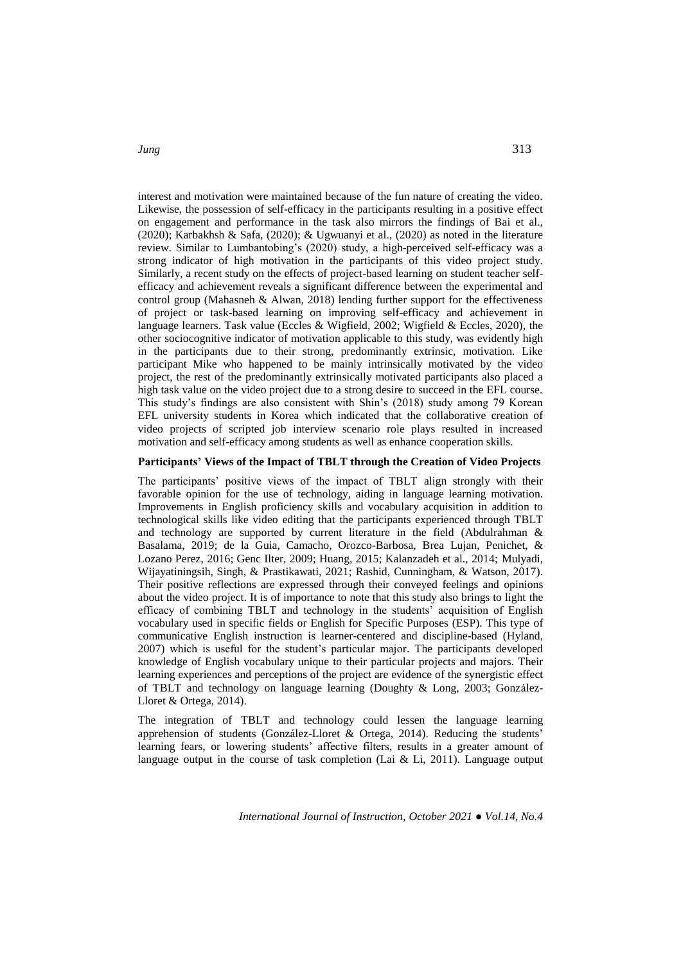interest and motivation were maintained because of the fun nature of creating the video. Likewise, the possession of self-efficacy in the participants resulting in a positive effect on engagement and performance in the task also mirrors the findings of Bai et al., (2020); Karbakhsh & Safa, (2020); & Ugwuanyi et al., (2020) as noted in the literature review. Similar to Lumbantobing's (2020) study, a high-perceived self-efficacy was a strong indicator of high motivation in the participants of this video project study. Similarly, a recent study on the effects of project-based learning on student teacher selfefficacy and achievement reveals a significant difference between the experimental and control group (Mahasneh & Alwan, 2018) lending further support for the effectiveness of project or task-based learning on improving self-efficacy and achievement in language learners. Task value (Eccles & Wigfield, 2002; Wigfield & Eccles, 2020), the other sociocognitive indicator of motivation applicable to this study, was evidently high in the participants due to their strong, predominantly extrinsic, motivation. Like participant Mike who happened to be mainly intrinsically motivated by the video project, the rest of the predominantly extrinsically motivated participants also placed a high task value on the video project due to a strong desire to succeed in the EFL course. This study's findings are also consistent with Shin's (2018) study among 79 Korean EFL university students in Korea which indicated that the collaborative creation of video projects of scripted job interview scenario role plays resulted in increased motivation and self-efficacy among students as well as enhance cooperation skills.

## **Participants' Views of the Impact of TBLT through the Creation of Video Projects**

The participants' positive views of the impact of TBLT align strongly with their favorable opinion for the use of technology, aiding in language learning motivation. Improvements in English proficiency skills and vocabulary acquisition in addition to technological skills like video editing that the participants experienced through TBLT and technology are supported by current literature in the field (Abdulrahman & Basalama, 2019; de la Guia, Camacho, Orozco-Barbosa, Brea Lujan, Penichet, & Lozano Perez, 2016; Genc Ilter, 2009; Huang, 2015; Kalanzadeh et al., 2014; Mulyadi, Wijayatiningsih, Singh, & Prastikawati, 2021; Rashid, Cunningham, & Watson, 2017). Their positive reflections are expressed through their conveyed feelings and opinions about the video project. It is of importance to note that this study also brings to light the efficacy of combining TBLT and technology in the students' acquisition of English vocabulary used in specific fields or English for Specific Purposes (ESP). This type of communicative English instruction is learner-centered and discipline-based (Hyland, 2007) which is useful for the student's particular major. The participants developed knowledge of English vocabulary unique to their particular projects and majors. Their learning experiences and perceptions of the project are evidence of the synergistic effect of TBLT and technology on language learning (Doughty & Long, 2003; González-Lloret & Ortega, 2014).

The integration of TBLT and technology could lessen the language learning apprehension of students (González-Lloret & Ortega, 2014). Reducing the students' learning fears, or lowering students' affective filters, results in a greater amount of language output in the course of task completion (Lai & Li, 2011). Language output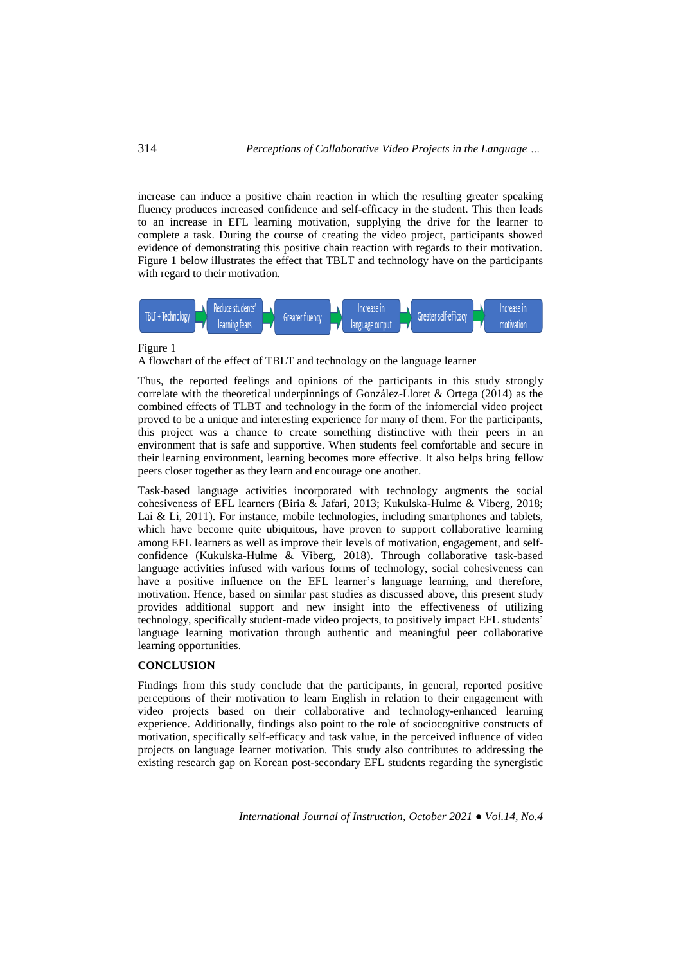increase can induce a positive chain reaction in which the resulting greater speaking fluency produces increased confidence and self-efficacy in the student. This then leads to an increase in EFL learning motivation, supplying the drive for the learner to complete a task. During the course of creating the video project, participants showed evidence of demonstrating this positive chain reaction with regards to their motivation. Figure 1 below illustrates the effect that TBLT and technology have on the participants with regard to their motivation.



#### Figure 1

A flowchart of the effect of TBLT and technology on the language learner

Thus, the reported feelings and opinions of the participants in this study strongly correlate with the theoretical underpinnings of González-Lloret & Ortega (2014) as the combined effects of TLBT and technology in the form of the infomercial video project proved to be a unique and interesting experience for many of them. For the participants, this project was a chance to create something distinctive with their peers in an environment that is safe and supportive. When students feel comfortable and secure in their learning environment, learning becomes more effective. It also helps bring fellow peers closer together as they learn and encourage one another.

Task-based language activities incorporated with technology augments the social cohesiveness of EFL learners (Biria & Jafari, 2013; Kukulska-Hulme & Viberg, 2018; Lai & Li, 2011). For instance, mobile technologies, including smartphones and tablets, which have become quite ubiquitous, have proven to support collaborative learning among EFL learners as well as improve their levels of motivation, engagement, and selfconfidence (Kukulska-Hulme & Viberg, 2018). Through collaborative task-based language activities infused with various forms of technology, social cohesiveness can have a positive influence on the EFL learner's language learning, and therefore, motivation. Hence, based on similar past studies as discussed above, this present study provides additional support and new insight into the effectiveness of utilizing technology, specifically student-made video projects, to positively impact EFL students' language learning motivation through authentic and meaningful peer collaborative learning opportunities.

## **CONCLUSION**

Findings from this study conclude that the participants, in general, reported positive perceptions of their motivation to learn English in relation to their engagement with video projects based on their collaborative and technology-enhanced learning experience. Additionally, findings also point to the role of sociocognitive constructs of motivation, specifically self-efficacy and task value, in the perceived influence of video projects on language learner motivation. This study also contributes to addressing the existing research gap on Korean post-secondary EFL students regarding the synergistic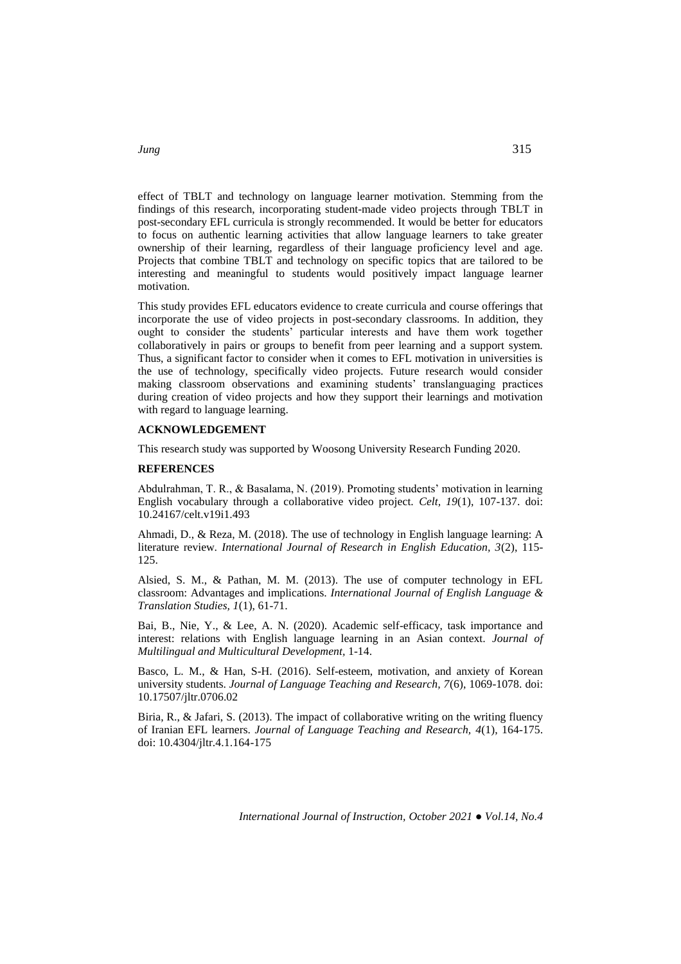effect of TBLT and technology on language learner motivation. Stemming from the findings of this research, incorporating student-made video projects through TBLT in post-secondary EFL curricula is strongly recommended. It would be better for educators to focus on authentic learning activities that allow language learners to take greater ownership of their learning, regardless of their language proficiency level and age. Projects that combine TBLT and technology on specific topics that are tailored to be interesting and meaningful to students would positively impact language learner motivation.

This study provides EFL educators evidence to create curricula and course offerings that incorporate the use of video projects in post-secondary classrooms. In addition, they ought to consider the students' particular interests and have them work together collaboratively in pairs or groups to benefit from peer learning and a support system. Thus, a significant factor to consider when it comes to EFL motivation in universities is the use of technology, specifically video projects. Future research would consider making classroom observations and examining students' translanguaging practices during creation of video projects and how they support their learnings and motivation with regard to language learning.

#### **ACKNOWLEDGEMENT**

This research study was supported by Woosong University Research Funding 2020.

## **REFERENCES**

Abdulrahman, T. R., & Basalama, N. (2019). Promoting students' motivation in learning English vocabulary through a collaborative video project. *Celt, 19*(1), 107-137. doi: 10.24167/celt.v19i1.493

Ahmadi, D., & Reza, M. (2018). The use of technology in English language learning: A literature review. *International Journal of Research in English Education, 3*(2), 115- 125.

Alsied, S. M., & Pathan, M. M. (2013). The use of computer technology in EFL classroom: Advantages and implications. *International Journal of English Language & Translation Studies, 1*(1), 61-71.

Bai, B., Nie, Y., & Lee, A. N. (2020). Academic self-efficacy, task importance and interest: relations with English language learning in an Asian context. *Journal of Multilingual and Multicultural Development,* 1-14.

Basco, L. M., & Han, S-H. (2016). Self-esteem, motivation, and anxiety of Korean university students. *Journal of Language Teaching and Research, 7*(6), 1069-1078. doi: 10.17507/jltr.0706.02

Biria, R., & Jafari, S. (2013). The impact of collaborative writing on the writing fluency of Iranian EFL learners. *Journal of Language Teaching and Research, 4*(1), 164-175. doi: 10.4304/jltr.4.1.164-175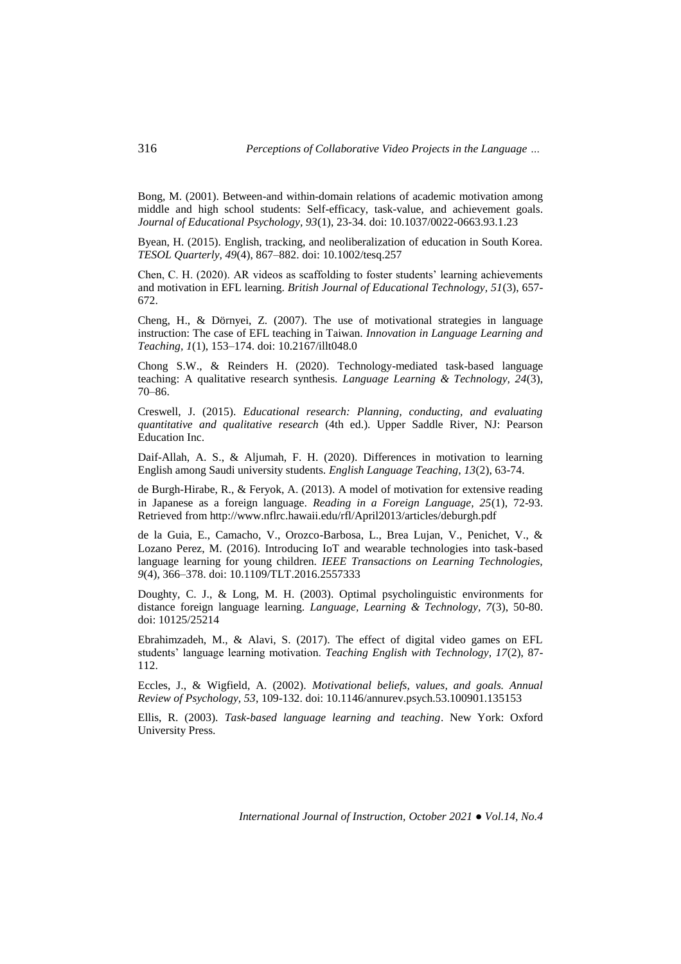Bong, M. (2001). Between-and within-domain relations of academic motivation among middle and high school students: Self-efficacy, task-value, and achievement goals. *Journal of Educational Psychology, 93*(1), 23-34. doi: 10.1037/0022-0663.93.1.23

Byean, H. (2015). English, tracking, and neoliberalization of education in South Korea. *TESOL Quarterly, 49*(4), 867–882. doi: 10.1002/tesq.257

Chen, C. H. (2020). AR videos as scaffolding to foster students' learning achievements and motivation in EFL learning. *British Journal of Educational Technology, 51*(3), 657- 672.

Cheng, H., & Dörnyei, Z. (2007). The use of motivational strategies in language instruction: The case of EFL teaching in Taiwan. *Innovation in Language Learning and Teaching, 1*(1), 153–174. doi: 10.2167/illt048.0

Chong S.W., & Reinders H. (2020). Technology-mediated task-based language teaching: A qualitative research synthesis. *Language Learning & Technology, 24*(3), 70–86.

Creswell, J. (2015). *Educational research: Planning, conducting, and evaluating quantitative and qualitative research* (4th ed.). Upper Saddle River, NJ: Pearson Education Inc.

Daif-Allah, A. S., & Aljumah, F. H. (2020). Differences in motivation to learning English among Saudi university students. *English Language Teaching, 13*(2), 63-74.

de Burgh-Hirabe, R., & Feryok, A. (2013). A model of motivation for extensive reading in Japanese as a foreign language. *Reading in a Foreign Language, 25*(1), 72-93. Retrieved from http://www.nflrc.hawaii.edu/rfl/April2013/articles/deburgh.pdf

de la Guia, E., Camacho, V., Orozco-Barbosa, L., Brea Lujan, V., Penichet, V., & Lozano Perez, M. (2016). Introducing IoT and wearable technologies into task-based language learning for young children. *IEEE Transactions on Learning Technologies, 9*(4), 366–378. doi: 10.1109/TLT.2016.2557333

Doughty, C. J., & Long, M. H. (2003). Optimal psycholinguistic environments for distance foreign language learning. *Language, Learning & Technology, 7*(3), 50-80. doi: 10125/25214

Ebrahimzadeh, M., & Alavi, S. (2017). The effect of digital video games on EFL students' language learning motivation. *Teaching English with Technology, 17*(2), 87- 112.

Eccles, J., & Wigfield, A. (2002). *Motivational beliefs, values, and goals. Annual Review of Psychology, 53*, 109-132. doi: 10.1146/annurev.psych.53.100901.135153

Ellis, R. (2003). *Task-based language learning and teaching*. New York: Oxford University Press.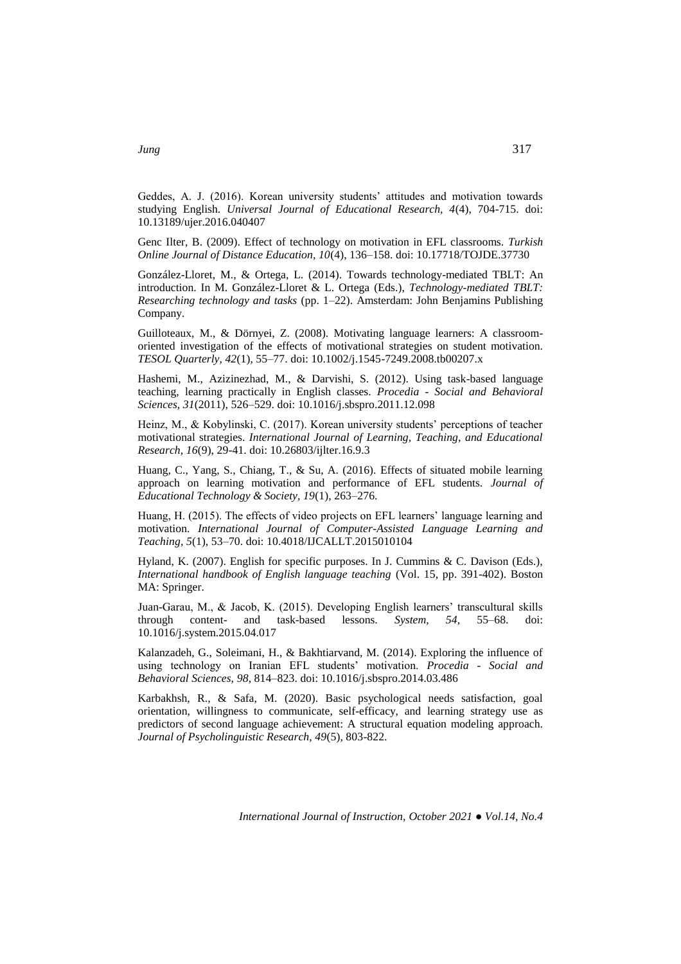Geddes, A. J. (2016). Korean university students' attitudes and motivation towards studying English. *Universal Journal of Educational Research, 4*(4), 704-715. doi: 10.13189/ujer.2016.040407

Genc Ilter, B. (2009). Effect of technology on motivation in EFL classrooms. *Turkish Online Journal of Distance Education, 10*(4), 136–158. doi: 10.17718/TOJDE.37730

González-Lloret, M., & Ortega, L. (2014). Towards technology-mediated TBLT: An introduction. In M. González-Lloret & L. Ortega (Eds.), *Technology-mediated TBLT: Researching technology and tasks* (pp. 1–22). Amsterdam: John Benjamins Publishing Company.

Guilloteaux, M., & Dörnyei, Z. (2008). Motivating language learners: A classroomoriented investigation of the effects of motivational strategies on student motivation. *TESOL Quarterly, 42*(1), 55–77. doi: 10.1002/j.1545-7249.2008.tb00207.x

Hashemi, M., Azizinezhad, M., & Darvishi, S. (2012). Using task-based language teaching, learning practically in English classes. *Procedia - Social and Behavioral Sciences, 31*(2011), 526–529. doi: 10.1016/j.sbspro.2011.12.098

Heinz, M., & Kobylinski, C. (2017). Korean university students' perceptions of teacher motivational strategies. *International Journal of Learning, Teaching, and Educational Research, 16*(9), 29-41. doi: 10.26803/ijlter.16.9.3

Huang, C., Yang, S., Chiang, T., & Su, A. (2016). Effects of situated mobile learning approach on learning motivation and performance of EFL students. *Journal of Educational Technology & Society, 19*(1), 263–276.

Huang, H. (2015). The effects of video projects on EFL learners' language learning and motivation. *International Journal of Computer-Assisted Language Learning and Teaching, 5*(1), 53–70. doi: 10.4018/IJCALLT.2015010104

Hyland, K. (2007). English for specific purposes. In J. Cummins & C. Davison (Eds.), *International handbook of English language teaching* (Vol. 15, pp. 391-402). Boston MA: Springer.

Juan-Garau, M., & Jacob, K. (2015). Developing English learners' transcultural skills through content- and task-based lessons. *System, 54,* 55–68. doi: 10.1016/j.system.2015.04.017

Kalanzadeh, G., Soleimani, H., & Bakhtiarvand, M. (2014). Exploring the influence of using technology on Iranian EFL students' motivation. *Procedia - Social and Behavioral Sciences, 98*, 814–823. doi: 10.1016/j.sbspro.2014.03.486

Karbakhsh, R., & Safa, M. (2020). Basic psychological needs satisfaction, goal orientation, willingness to communicate, self-efficacy, and learning strategy use as predictors of second language achievement: A structural equation modeling approach. *Journal of Psycholinguistic Research, 49*(5), 803-822.

*International Journal of Instruction, October 2021 ● Vol.14, No.4*

*Jung* 317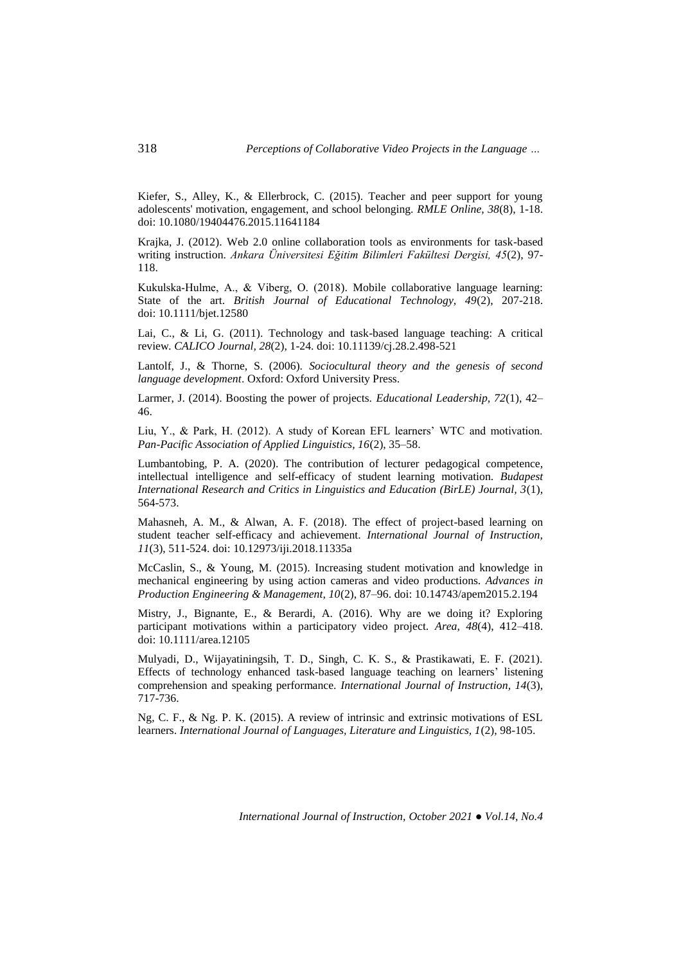Kiefer, S., Alley, K., & Ellerbrock, C. (2015). Teacher and peer support for young adolescents' motivation, engagement, and school belonging. *RMLE Online, 38*(8), 1-18. doi: 10.1080/19404476.2015.11641184

Krajka, J. (2012). Web 2.0 online collaboration tools as environments for task-based writing instruction. *Ankara Üniversitesi Eğitim Bilimleri Fakültesi Dergisi, 45*(2), 97- 118.

Kukulska‐Hulme, A., & Viberg, O. (2018). Mobile collaborative language learning: State of the art. *British Journal of Educational Technology, 49*(2), 207-218. doi: 10.1111/bjet.12580

Lai, C., & Li, G. (2011). Technology and task-based language teaching: A critical review*. CALICO Journal, 28*(2), 1-24. doi: 10.11139/cj.28.2.498-521

Lantolf, J., & Thorne, S. (2006). *Sociocultural theory and the genesis of second language development*. Oxford: Oxford University Press.

Larmer, J. (2014). Boosting the power of projects. *Educational Leadership, 72*(1), 42– 46.

Liu, Y., & Park, H. (2012). A study of Korean EFL learners' WTC and motivation. *Pan-Pacific Association of Applied Linguistics, 16*(2), 35–58.

Lumbantobing, P. A. (2020). The contribution of lecturer pedagogical competence, intellectual intelligence and self-efficacy of student learning motivation. *Budapest International Research and Critics in Linguistics and Education (BirLE) Journal, 3*(1), 564-573.

Mahasneh, A. M., & Alwan, A. F. (2018). The effect of project-based learning on student teacher self-efficacy and achievement. *International Journal of Instruction, 11*(3), 511-524. doi: 10.12973/iji.2018.11335a

McCaslin, S., & Young, M. (2015). Increasing student motivation and knowledge in mechanical engineering by using action cameras and video productions. *Advances in Production Engineering & Management, 10*(2), 87–96. doi: 10.14743/apem2015.2.194

Mistry, J., Bignante, E., & Berardi, A. (2016). Why are we doing it? Exploring participant motivations within a participatory video project. *Area, 48*(4), 412–418. doi: 10.1111/area.12105

Mulyadi, D., Wijayatiningsih, T. D., Singh, C. K. S., & Prastikawati, E. F. (2021). Effects of technology enhanced task-based language teaching on learners' listening comprehension and speaking performance. *International Journal of Instruction, 14*(3), 717-736.

Ng, C. F., & Ng. P. K. (2015). A review of intrinsic and extrinsic motivations of ESL learners. *International Journal of Languages, Literature and Linguistics, 1*(2), 98-105.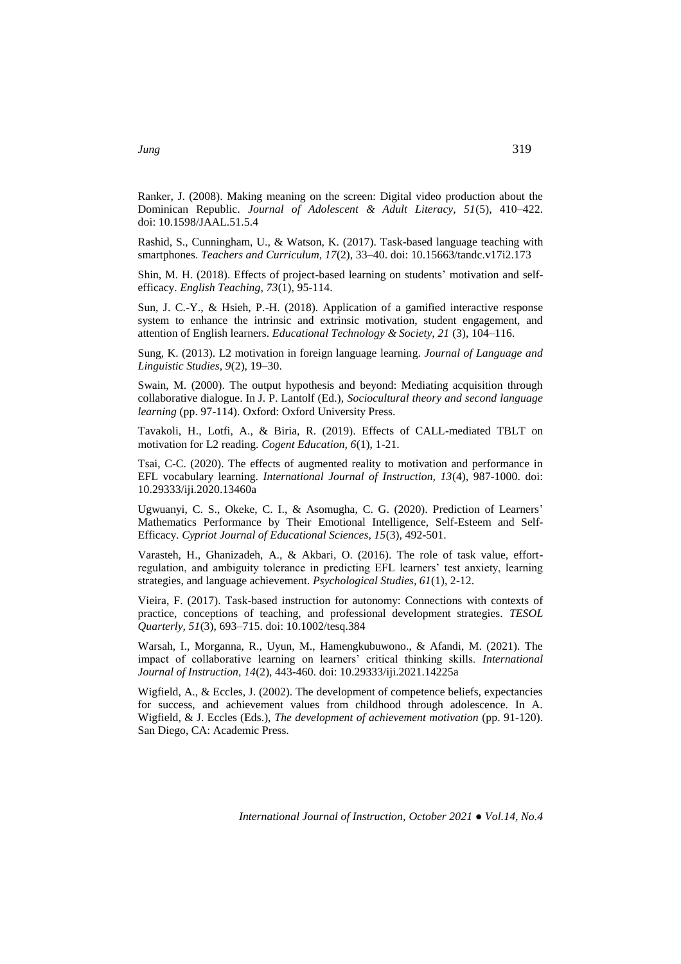Ranker, J. (2008). Making meaning on the screen: Digital video production about the Dominican Republic. *Journal of Adolescent & Adult Literacy, 51*(5), 410–422. doi: 10.1598/JAAL.51.5.4

Rashid, S., Cunningham, U., & Watson, K. (2017). Task-based language teaching with smartphones. *Teachers and Curriculum, 17*(2), 33–40. doi: 10.15663/tandc.v17i2.173

Shin, M. H. (2018). Effects of project-based learning on students' motivation and selfefficacy. *English Teaching, 73*(1), 95-114.

Sun, J. C.-Y., & Hsieh, P.-H. (2018). Application of a gamified interactive response system to enhance the intrinsic and extrinsic motivation, student engagement, and attention of English learners. *Educational Technology & Society, 21* (3), 104–116.

Sung, K. (2013). L2 motivation in foreign language learning. *Journal of Language and Linguistic Studies, 9*(2), 19–30.

Swain, M. (2000). The output hypothesis and beyond: Mediating acquisition through collaborative dialogue. In J. P. Lantolf (Ed.), *Sociocultural theory and second language learning* (pp. 97-114). Oxford: Oxford University Press.

Tavakoli, H., Lotfi, A., & Biria, R. (2019). Effects of CALL-mediated TBLT on motivation for L2 reading. *Cogent Education, 6*(1), 1-21.

Tsai, C-C. (2020). The effects of augmented reality to motivation and performance in EFL vocabulary learning. *International Journal of Instruction, 13*(4), 987-1000. doi: 10.29333/iji.2020.13460a

Ugwuanyi, C. S., Okeke, C. I., & Asomugha, C. G. (2020). Prediction of Learners' Mathematics Performance by Their Emotional Intelligence, Self-Esteem and Self-Efficacy. *Cypriot Journal of Educational Sciences, 15*(3), 492-501.

Varasteh, H., Ghanizadeh, A., & Akbari, O. (2016). The role of task value, effortregulation, and ambiguity tolerance in predicting EFL learners' test anxiety, learning strategies, and language achievement. *Psychological Studies, 61*(1), 2-12.

Vieira, F. (2017). Task-based instruction for autonomy: Connections with contexts of practice, conceptions of teaching, and professional development strategies. *TESOL Quarterly, 51*(3), 693–715. doi: 10.1002/tesq.384

Warsah, I., Morganna, R., Uyun, M., Hamengkubuwono., & Afandi, M. (2021). The impact of collaborative learning on learners' critical thinking skills. *International Journal of Instruction, 14*(2), 443-460. doi: 10.29333/iji.2021.14225a

Wigfield, A., & Eccles, J. (2002). The development of competence beliefs, expectancies for success, and achievement values from childhood through adolescence. In A. Wigfield, & J. Eccles (Eds.), *The development of achievement motivation* (pp. 91-120). San Diego, CA: Academic Press.